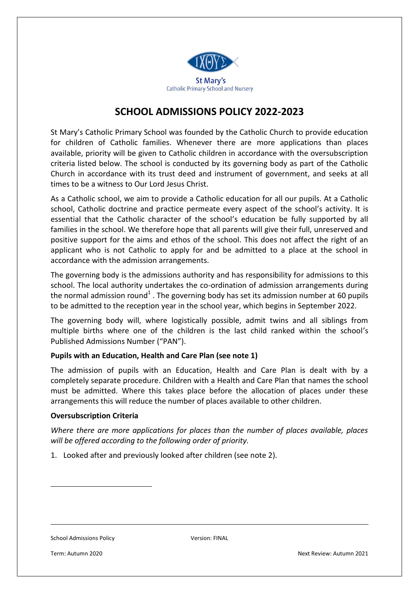

# **SCHOOL ADMISSIONS POLICY 2022-2023**

St Mary's Catholic Primary School was founded by the Catholic Church to provide education for children of Catholic families. Whenever there are more applications than places available, priority will be given to Catholic children in accordance with the oversubscription criteria listed below. The school is conducted by its governing body as part of the Catholic Church in accordance with its trust deed and instrument of government, and seeks at all times to be a witness to Our Lord Jesus Christ.

As a Catholic school, we aim to provide a Catholic education for all our pupils. At a Catholic school, Catholic doctrine and practice permeate every aspect of the school's activity. It is essential that the Catholic character of the school's education be fully supported by all families in the school. We therefore hope that all parents will give their full, unreserved and positive support for the aims and ethos of the school. This does not affect the right of an applicant who is not Catholic to apply for and be admitted to a place at the school in accordance with the admission arrangements.

The governing body is the admissions authority and has responsibility for admissions to this school. The local authority undertakes the co-ordination of admission arrangements during the normal admission round<sup>1</sup>. The governing body has set its admission number at 60 pupils to be admitted to the reception year in the school year, which begins in September 2022.

The governing body will, where logistically possible, admit twins and all siblings from multiple births where one of the children is the last child ranked within the school's Published Admissions Number ("PAN").

# **Pupils with an Education, Health and Care Plan (see note 1)**

The admission of pupils with an Education, Health and Care Plan is dealt with by a completely separate procedure. Children with a Health and Care Plan that names the school must be admitted. Where this takes place before the allocation of places under these arrangements this will reduce the number of places available to other children.

# **Oversubscription Criteria**

*Where there are more applications for places than the number of places available, places will be offered according to the following order of priority.*

1. Looked after and previously looked after children (see note 2).

School Admissions Policy **Version: FINAL** 

.<br>-

Term: Autumn 2020 Next Review: Autumn 2021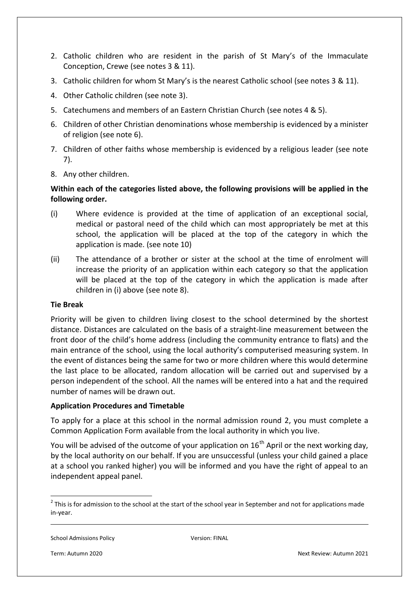- 2. Catholic children who are resident in the parish of St Mary's of the Immaculate Conception, Crewe (see notes 3 & 11).
- 3. Catholic children for whom St Mary's is the nearest Catholic school (see notes 3 & 11).
- 4. Other Catholic children (see note 3).
- 5. Catechumens and members of an Eastern Christian Church (see notes 4 & 5).
- 6. Children of other Christian denominations whose membership is evidenced by a minister of religion (see note 6).
- 7. Children of other faiths whose membership is evidenced by a religious leader (see note 7).
- 8. Any other children.

# **Within each of the categories listed above, the following provisions will be applied in the following order.**

- (i) Where evidence is provided at the time of application of an exceptional social, medical or pastoral need of the child which can most appropriately be met at this school, the application will be placed at the top of the category in which the application is made. (see note 10)
- (ii) The attendance of a brother or sister at the school at the time of enrolment will increase the priority of an application within each category so that the application will be placed at the top of the category in which the application is made after children in (i) above (see note 8).

# **Tie Break**

Priority will be given to children living closest to the school determined by the shortest distance. Distances are calculated on the basis of a straight-line measurement between the front door of the child's home address (including the community entrance to flats) and the main entrance of the school, using the local authority's computerised measuring system. In the event of distances being the same for two or more children where this would determine the last place to be allocated, random allocation will be carried out and supervised by a person independent of the school. All the names will be entered into a hat and the required number of names will be drawn out.

# **Application Procedures and Timetable**

To apply for a place at this school in the normal admission round 2, you must complete a Common Application Form available from the local authority in which you live.

You will be advised of the outcome of your application on  $16<sup>th</sup>$  April or the next working day, by the local authority on our behalf. If you are unsuccessful (unless your child gained a place at a school you ranked higher) you will be informed and you have the right of appeal to an independent appeal panel.

School Admissions Policy **Version: FINAL** 

.<br>-

 $2$  This is for admission to the school at the start of the school year in September and not for applications made in-year.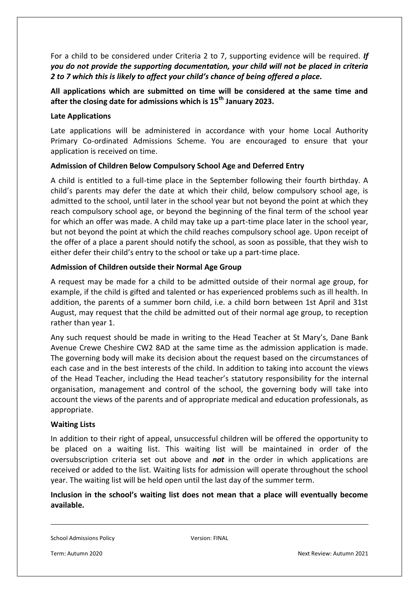For a child to be considered under Criteria 2 to 7, supporting evidence will be required. *If you do not provide the supporting documentation, your child will not be placed in criteria 2 to 7 which this is likely to affect your child's chance of being offered a place.* 

**All applications which are submitted on time will be considered at the same time and after the closing date for admissions which is 15th January 2023.** 

### **Late Applications**

Late applications will be administered in accordance with your home Local Authority Primary Co-ordinated Admissions Scheme. You are encouraged to ensure that your application is received on time.

# **Admission of Children Below Compulsory School Age and Deferred Entry**

A child is entitled to a full-time place in the September following their fourth birthday. A child's parents may defer the date at which their child, below compulsory school age, is admitted to the school, until later in the school year but not beyond the point at which they reach compulsory school age, or beyond the beginning of the final term of the school year for which an offer was made. A child may take up a part-time place later in the school year, but not beyond the point at which the child reaches compulsory school age. Upon receipt of the offer of a place a parent should notify the school, as soon as possible, that they wish to either defer their child's entry to the school or take up a part-time place.

#### **Admission of Children outside their Normal Age Group**

A request may be made for a child to be admitted outside of their normal age group, for example, if the child is gifted and talented or has experienced problems such as ill health. In addition, the parents of a summer born child, i.e. a child born between 1st April and 31st August, may request that the child be admitted out of their normal age group, to reception rather than year 1.

Any such request should be made in writing to the Head Teacher at St Mary's, Dane Bank Avenue Crewe Cheshire CW2 8AD at the same time as the admission application is made. The governing body will make its decision about the request based on the circumstances of each case and in the best interests of the child. In addition to taking into account the views of the Head Teacher, including the Head teacher's statutory responsibility for the internal organisation, management and control of the school, the governing body will take into account the views of the parents and of appropriate medical and education professionals, as appropriate.

#### **Waiting Lists**

In addition to their right of appeal, unsuccessful children will be offered the opportunity to be placed on a waiting list. This waiting list will be maintained in order of the oversubscription criteria set out above and *not* in the order in which applications are received or added to the list. Waiting lists for admission will operate throughout the school year. The waiting list will be held open until the last day of the summer term.

**Inclusion in the school's waiting list does not mean that a place will eventually become available.** 

School Admissions Policy **Version: FINAL** 

Term: Autumn 2020 Next Review: Autumn 2021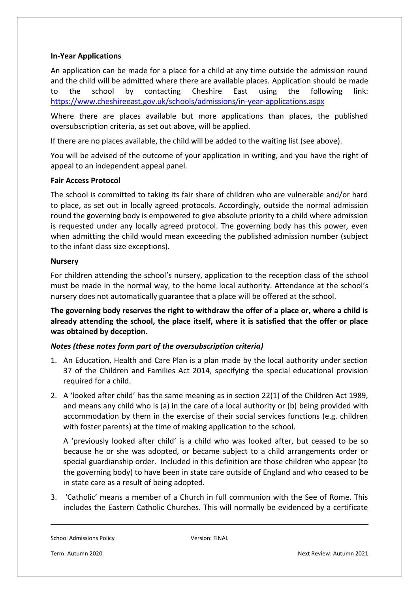### **In-Year Applications**

An application can be made for a place for a child at any time outside the admission round and the child will be admitted where there are available places. Application should be made to the school by contacting Cheshire East using the following link: <https://www.cheshireeast.gov.uk/schools/admissions/in-year-applications.aspx>

Where there are places available but more applications than places, the published oversubscription criteria, as set out above, will be applied.

If there are no places available, the child will be added to the waiting list (see above).

You will be advised of the outcome of your application in writing, and you have the right of appeal to an independent appeal panel.

#### **Fair Access Protocol**

The school is committed to taking its fair share of children who are vulnerable and/or hard to place, as set out in locally agreed protocols. Accordingly, outside the normal admission round the governing body is empowered to give absolute priority to a child where admission is requested under any locally agreed protocol. The governing body has this power, even when admitting the child would mean exceeding the published admission number (subject to the infant class size exceptions).

#### **Nursery**

For children attending the school's nursery, application to the reception class of the school must be made in the normal way, to the home local authority. Attendance at the school's nursery does not automatically guarantee that a place will be offered at the school.

**The governing body reserves the right to withdraw the offer of a place or, where a child is already attending the school, the place itself, where it is satisfied that the offer or place was obtained by deception.** 

# *Notes (these notes form part of the oversubscription criteria)*

- 1. An Education, Health and Care Plan is a plan made by the local authority under section 37 of the Children and Families Act 2014, specifying the special educational provision required for a child.
- 2. A 'looked after child' has the same meaning as in section 22(1) of the Children Act 1989, and means any child who is (a) in the care of a local authority or (b) being provided with accommodation by them in the exercise of their social services functions (e.g. children with foster parents) at the time of making application to the school.

A 'previously looked after child' is a child who was looked after, but ceased to be so because he or she was adopted, or became subject to a child arrangements order or special guardianship order. Included in this definition are those children who appear (to the governing body) to have been in state care outside of England and who ceased to be in state care as a result of being adopted.

3. 'Catholic' means a member of a Church in full communion with the See of Rome. This includes the Eastern Catholic Churches. This will normally be evidenced by a certificate

School Admissions Policy **Version: FINAL**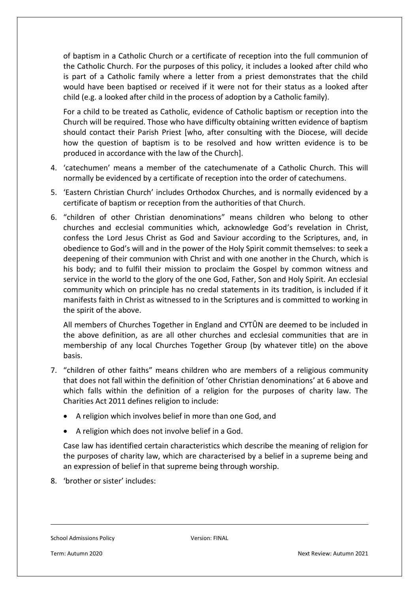of baptism in a Catholic Church or a certificate of reception into the full communion of the Catholic Church. For the purposes of this policy, it includes a looked after child who is part of a Catholic family where a letter from a priest demonstrates that the child would have been baptised or received if it were not for their status as a looked after child (e.g. a looked after child in the process of adoption by a Catholic family).

For a child to be treated as Catholic, evidence of Catholic baptism or reception into the Church will be required. Those who have difficulty obtaining written evidence of baptism should contact their Parish Priest [who, after consulting with the Diocese, will decide how the question of baptism is to be resolved and how written evidence is to be produced in accordance with the law of the Church].

- 4. 'catechumen' means a member of the catechumenate of a Catholic Church. This will normally be evidenced by a certificate of reception into the order of catechumens.
- 5. 'Eastern Christian Church' includes Orthodox Churches, and is normally evidenced by a certificate of baptism or reception from the authorities of that Church.
- 6. "children of other Christian denominations" means children who belong to other churches and ecclesial communities which, acknowledge God's revelation in Christ, confess the Lord Jesus Christ as God and Saviour according to the Scriptures, and, in obedience to God's will and in the power of the Holy Spirit commit themselves: to seek a deepening of their communion with Christ and with one another in the Church, which is his body; and to fulfil their mission to proclaim the Gospel by common witness and service in the world to the glory of the one God, Father, Son and Holy Spirit. An ecclesial community which on principle has no credal statements in its tradition, is included if it manifests faith in Christ as witnessed to in the Scriptures and is committed to working in the spirit of the above.

All members of Churches Together in England and CYTÛN are deemed to be included in the above definition, as are all other churches and ecclesial communities that are in membership of any local Churches Together Group (by whatever title) on the above basis.

- 7. "children of other faiths" means children who are members of a religious community that does not fall within the definition of 'other Christian denominations' at 6 above and which falls within the definition of a religion for the purposes of charity law. The Charities Act 2011 defines religion to include:
	- A religion which involves belief in more than one God, and
	- A religion which does not involve belief in a God.

Case law has identified certain characteristics which describe the meaning of religion for the purposes of charity law, which are characterised by a belief in a supreme being and an expression of belief in that supreme being through worship.

8. 'brother or sister' includes:

School Admissions Policy **Version: FINAL**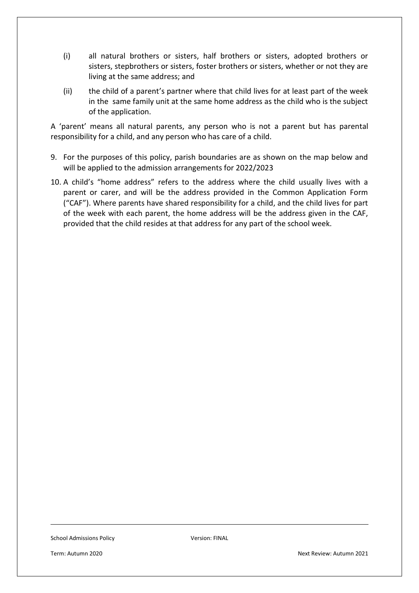- (i) all natural brothers or sisters, half brothers or sisters, adopted brothers or sisters, stepbrothers or sisters, foster brothers or sisters, whether or not they are living at the same address; and
- (ii) the child of a parent's partner where that child lives for at least part of the week in the same family unit at the same home address as the child who is the subject of the application.

A 'parent' means all natural parents, any person who is not a parent but has parental responsibility for a child, and any person who has care of a child.

- 9. For the purposes of this policy, parish boundaries are as shown on the map below and will be applied to the admission arrangements for 2022/2023
- 10. A child's "home address" refers to the address where the child usually lives with a parent or carer, and will be the address provided in the Common Application Form ("CAF"). Where parents have shared responsibility for a child, and the child lives for part of the week with each parent, the home address will be the address given in the CAF, provided that the child resides at that address for any part of the school week.